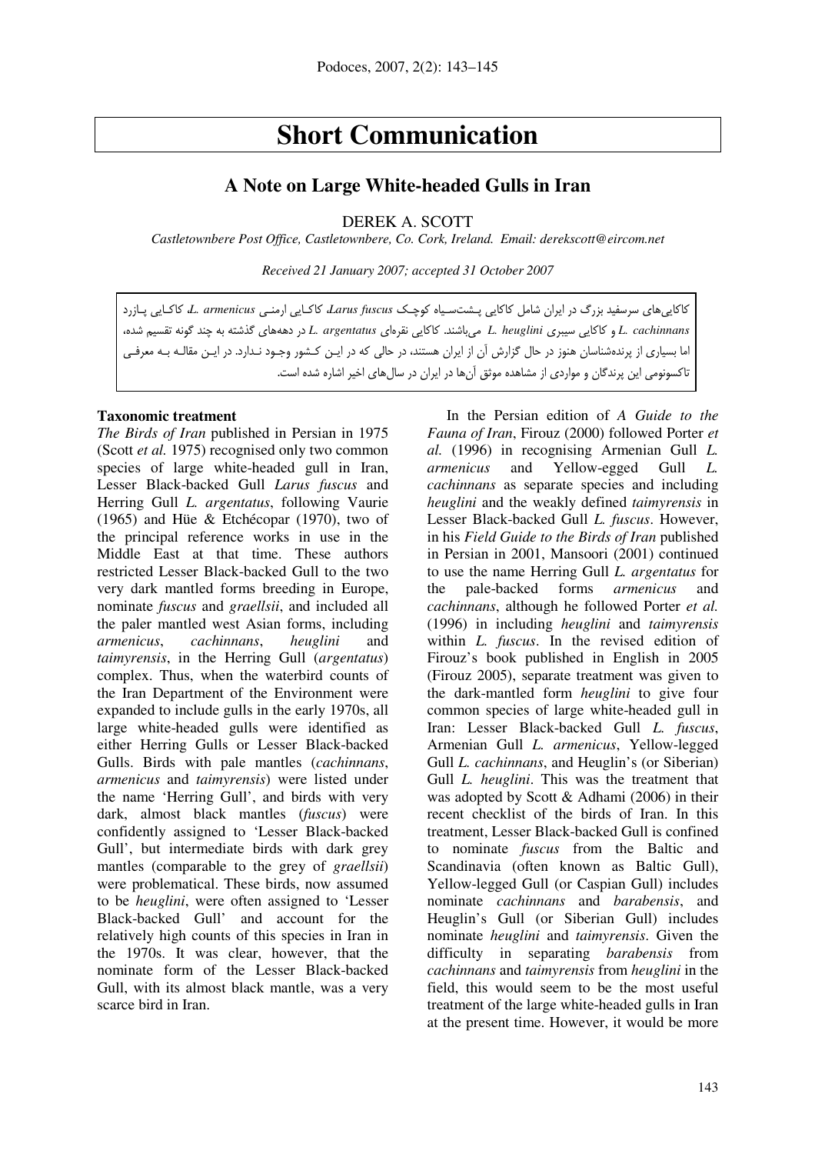# **Short Communication**

# **A Note on Large White-headed Gulls in Iran**

DEREK A. SCOTT

*Castletownbere Post Office, Castletownbere, Co. Cork, Ireland. Email: derekscott@eircom.net* 

*Received 21 January 2007; accepted 31 October 2007* 

كاكاييهاي سرسفيد بزرگ در ايران شامل كاكايي پـشت سـياه كوچـك *fuscus Larus*، كاكـايي ارمنـي *armenicus .L*، كاكـايي پـازرد *cachinnans .L* و كاكايي سيبري *heuglini .L* ميباشند. كاكايي نقرهاي *argentatus .L* در دهههاي گذشته به چند گونه تقسيم شده، اما بسياري از پرندهشناسان هنوز در حال گزارش آن از ايران هستند، در حالي كه در ايـن كـشور وجـود نـدارد. در ايـن مقالـه بـه معرفـي تاكسونومي اين پرندگان و مواردي از مشاهده موثق آنها در ايران در سالهاي اخير اشاره شده است .

#### **Taxonomic treatment**

*The Birds of Iran* published in Persian in 1975 (Scott *et al.* 1975) recognised only two common species of large white-headed gull in Iran, Lesser Black-backed Gull *Larus fuscus* and Herring Gull *L. argentatus*, following Vaurie (1965) and Hüe & Etchécopar (1970), two of the principal reference works in use in the Middle East at that time. These authors restricted Lesser Black-backed Gull to the two very dark mantled forms breeding in Europe, nominate *fuscus* and *graellsii*, and included all the paler mantled west Asian forms, including *armenicus*, *cachinnans*, *heuglini* and *taimyrensis*, in the Herring Gull (*argentatus*) complex. Thus, when the waterbird counts of the Iran Department of the Environment were expanded to include gulls in the early 1970s, all large white-headed gulls were identified as either Herring Gulls or Lesser Black-backed Gulls. Birds with pale mantles (*cachinnans*, *armenicus* and *taimyrensis*) were listed under the name 'Herring Gull', and birds with very dark, almost black mantles (*fuscus*) were confidently assigned to 'Lesser Black-backed Gull', but intermediate birds with dark grey mantles (comparable to the grey of *graellsii*) were problematical. These birds, now assumed to be *heuglini*, were often assigned to 'Lesser Black-backed Gull' and account for the relatively high counts of this species in Iran in the 1970s. It was clear, however, that the nominate form of the Lesser Black-backed Gull, with its almost black mantle, was a very scarce bird in Iran.

In the Persian edition of *A Guide to the Fauna of Iran*, Firouz (2000) followed Porter *et al.* (1996) in recognising Armenian Gull *L. armenicus* and Yellow-egged Gull *L. cachinnans* as separate species and including *heuglini* and the weakly defined *taimyrensis* in Lesser Black-backed Gull *L. fuscus*. However, in his *Field Guide to the Birds of Iran* published in Persian in 2001, Mansoori (2001) continued to use the name Herring Gull *L. argentatus* for the pale-backed forms *armenicus* and *cachinnans*, although he followed Porter *et al.*  (1996) in including *heuglini* and *taimyrensis* within *L. fuscus*. In the revised edition of Firouz's book published in English in 2005 (Firouz 2005), separate treatment was given to the dark-mantled form *heuglini* to give four common species of large white-headed gull in Iran: Lesser Black-backed Gull *L. fuscus*, Armenian Gull *L. armenicus*, Yellow-legged Gull *L. cachinnans*, and Heuglin's (or Siberian) Gull *L. heuglini*. This was the treatment that was adopted by Scott & Adhami (2006) in their recent checklist of the birds of Iran. In this treatment, Lesser Black-backed Gull is confined to nominate *fuscus* from the Baltic and Scandinavia (often known as Baltic Gull), Yellow-legged Gull (or Caspian Gull) includes nominate *cachinnans* and *barabensis*, and Heuglin's Gull (or Siberian Gull) includes nominate *heuglini* and *taimyrensis*. Given the difficulty in separating *barabensis* from *cachinnans* and *taimyrensis* from *heuglini* in the field, this would seem to be the most useful treatment of the large white-headed gulls in Iran at the present time. However, it would be more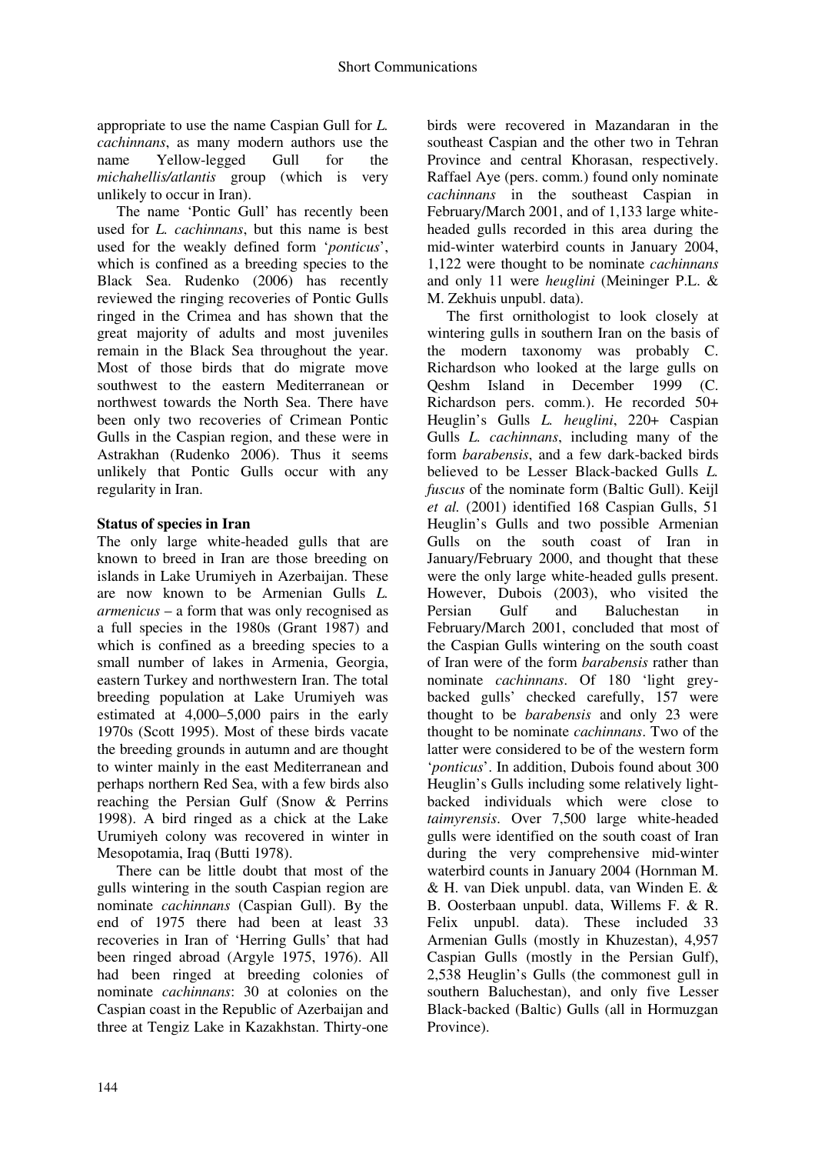appropriate to use the name Caspian Gull for *L. cachinnans*, as many modern authors use the name Yellow-legged Gull for the *michahellis/atlantis* group (which is very unlikely to occur in Iran).

The name 'Pontic Gull' has recently been used for *L. cachinnans*, but this name is best used for the weakly defined form '*ponticus*', which is confined as a breeding species to the Black Sea. Rudenko (2006) has recently reviewed the ringing recoveries of Pontic Gulls ringed in the Crimea and has shown that the great majority of adults and most juveniles remain in the Black Sea throughout the year. Most of those birds that do migrate move southwest to the eastern Mediterranean or northwest towards the North Sea. There have been only two recoveries of Crimean Pontic Gulls in the Caspian region, and these were in Astrakhan (Rudenko 2006). Thus it seems unlikely that Pontic Gulls occur with any regularity in Iran.

## **Status of species in Iran**

The only large white-headed gulls that are known to breed in Iran are those breeding on islands in Lake Urumiyeh in Azerbaijan. These are now known to be Armenian Gulls *L. armenicus* – a form that was only recognised as a full species in the 1980s (Grant 1987) and which is confined as a breeding species to a small number of lakes in Armenia, Georgia, eastern Turkey and northwestern Iran. The total breeding population at Lake Urumiyeh was estimated at 4,000–5,000 pairs in the early 1970s (Scott 1995). Most of these birds vacate the breeding grounds in autumn and are thought to winter mainly in the east Mediterranean and perhaps northern Red Sea, with a few birds also reaching the Persian Gulf (Snow & Perrins 1998). A bird ringed as a chick at the Lake Urumiyeh colony was recovered in winter in Mesopotamia, Iraq (Butti 1978).

There can be little doubt that most of the gulls wintering in the south Caspian region are nominate *cachinnans* (Caspian Gull). By the end of 1975 there had been at least 33 recoveries in Iran of 'Herring Gulls' that had been ringed abroad (Argyle 1975, 1976). All had been ringed at breeding colonies of nominate *cachinnans*: 30 at colonies on the Caspian coast in the Republic of Azerbaijan and three at Tengiz Lake in Kazakhstan. Thirty-one birds were recovered in Mazandaran in the southeast Caspian and the other two in Tehran Province and central Khorasan, respectively. Raffael Aye (pers. comm.) found only nominate *cachinnans* in the southeast Caspian in February/March 2001, and of 1,133 large whiteheaded gulls recorded in this area during the mid-winter waterbird counts in January 2004, 1,122 were thought to be nominate *cachinnans* and only 11 were *heuglini* (Meininger P.L. & M. Zekhuis unpubl. data).

The first ornithologist to look closely at wintering gulls in southern Iran on the basis of the modern taxonomy was probably C. Richardson who looked at the large gulls on Qeshm Island in December 1999 (C. Richardson pers. comm.). He recorded 50+ Heuglin's Gulls *L. heuglini*, 220+ Caspian Gulls *L. cachinnans*, including many of the form *barabensis*, and a few dark-backed birds believed to be Lesser Black-backed Gulls *L. fuscus* of the nominate form (Baltic Gull). Keijl *et al.* (2001) identified 168 Caspian Gulls, 51 Heuglin's Gulls and two possible Armenian Gulls on the south coast of Iran in January/February 2000, and thought that these were the only large white-headed gulls present. However, Dubois (2003), who visited the Persian Gulf and Baluchestan in February/March 2001, concluded that most of the Caspian Gulls wintering on the south coast of Iran were of the form *barabensis* rather than nominate *cachinnans*. Of 180 'light greybacked gulls' checked carefully, 157 were thought to be *barabensis* and only 23 were thought to be nominate *cachinnans*. Two of the latter were considered to be of the western form '*ponticus*'. In addition, Dubois found about 300 Heuglin's Gulls including some relatively lightbacked individuals which were close to *taimyrensis*. Over 7,500 large white-headed gulls were identified on the south coast of Iran during the very comprehensive mid-winter waterbird counts in January 2004 (Hornman M. & H. van Diek unpubl. data, van Winden E. & B. Oosterbaan unpubl. data, Willems F. & R. Felix unpubl. data). These included 33 Armenian Gulls (mostly in Khuzestan), 4,957 Caspian Gulls (mostly in the Persian Gulf), 2,538 Heuglin's Gulls (the commonest gull in southern Baluchestan), and only five Lesser Black-backed (Baltic) Gulls (all in Hormuzgan Province).